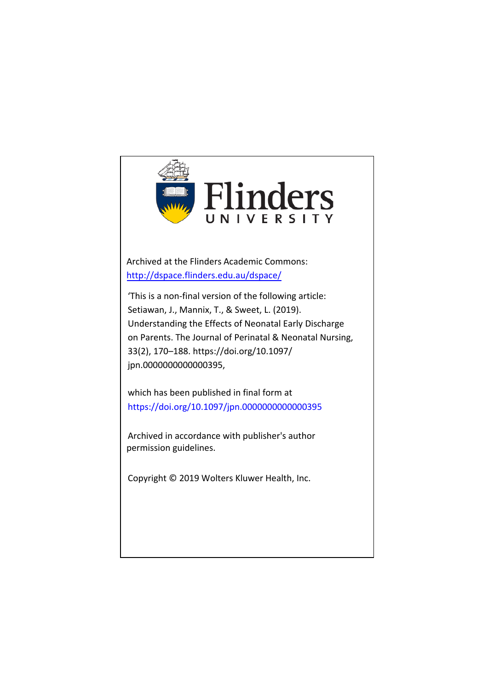

Archived at the Flinders Academic Commons: <http://dspace.flinders.edu.au/dspace/>

'This is a non-final version of the following article: Setiawan, J., Mannix, T., & Sweet, L. (2019). Understanding the Effects of Neonatal Early Discharge on Parents. The Journal of Perinatal & Neonatal Nursing, 33(2), 170–188. https://doi.org/10.1097/ jpn.0000000000000395,

which has been published in final form at https://doi.org/10.1097/jpn.0000000000000395

[Archived in accordance with publisher's author](http://dx.doi.org/)  permission guidelines.

Copyright © 2019 Wolters Kluwer Health, Inc.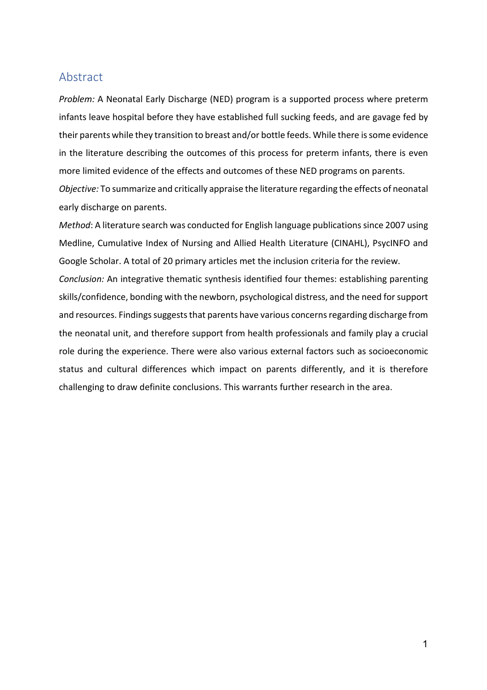## Abstract

*Problem:* A Neonatal Early Discharge (NED) program is a supported process where preterm infants leave hospital before they have established full sucking feeds, and are gavage fed by their parents while they transition to breast and/or bottle feeds. While there is some evidence in the literature describing the outcomes of this process for preterm infants, there is even more limited evidence of the effects and outcomes of these NED programs on parents.

*Objective:* To summarize and critically appraise the literature regarding the effects of neonatal early discharge on parents.

*Method*: A literature search was conducted for English language publications since 2007 using Medline, Cumulative Index of Nursing and Allied Health Literature (CINAHL), PsycINFO and Google Scholar. A total of 20 primary articles met the inclusion criteria for the review.

*Conclusion:* An integrative thematic synthesis identified four themes: establishing parenting skills/confidence, bonding with the newborn, psychological distress, and the need for support and resources. Findings suggests that parents have various concerns regarding discharge from the neonatal unit, and therefore support from health professionals and family play a crucial role during the experience. There were also various external factors such as socioeconomic status and cultural differences which impact on parents differently, and it is therefore challenging to draw definite conclusions. This warrants further research in the area.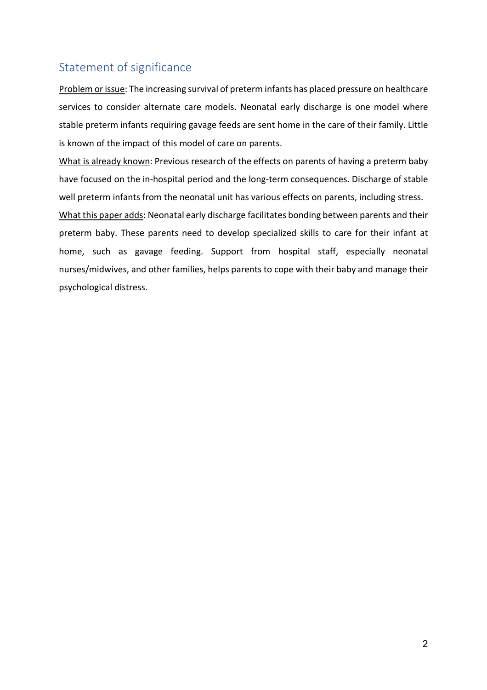# Statement of significance

Problem or issue: The increasing survival of preterm infants has placed pressure on healthcare services to consider alternate care models. Neonatal early discharge is one model where stable preterm infants requiring gavage feeds are sent home in the care of their family. Little is known of the impact of this model of care on parents.

What is already known: Previous research of the effects on parents of having a preterm baby have focused on the in-hospital period and the long-term consequences. Discharge of stable well preterm infants from the neonatal unit has various effects on parents, including stress.

What this paper adds: Neonatal early discharge facilitates bonding between parents and their preterm baby. These parents need to develop specialized skills to care for their infant at home, such as gavage feeding. Support from hospital staff, especially neonatal nurses/midwives, and other families, helps parents to cope with their baby and manage their psychological distress.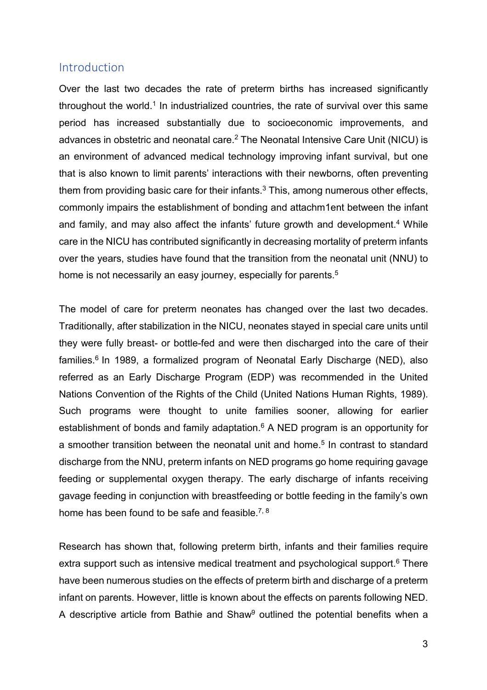# Introduction

Over the last two decades the rate of preterm births has increased significantly throughout the world. <sup>1</sup> In industrialized countries, the rate of survival over this same period has increased substantially due to socioeconomic improvements, and advances in obstetric and neonatal care.<sup>2</sup> The Neonatal Intensive Care Unit (NICU) is an environment of advanced medical technology improving infant survival, but one that is also known to limit parents' interactions with their newborns, often preventing them from providing basic care for their infants. <sup>3</sup> This, among numerous other effects, commonly impairs the establishment of bonding and attachm1ent between the infant and family, and may also affect the infants' future growth and development.<sup>4</sup> While care in the NICU has contributed significantly in decreasing mortality of preterm infants over the years, studies have found that the transition from the neonatal unit (NNU) to home is not necessarily an easy journey, especially for parents. 5

The model of care for preterm neonates has changed over the last two decades. Traditionally, after stabilization in the NICU, neonates stayed in special care units until they were fully breast- or bottle-fed and were then discharged into the care of their families. 6 In 1989, a formalized program of Neonatal Early Discharge (NED), also referred as an Early Discharge Program (EDP) was recommended in the United Nations Convention of the Rights of the Child (United Nations Human Rights, 1989). Such programs were thought to unite families sooner, allowing for earlier establishment of bonds and family adaptation. $6$  A NED program is an opportunity for a smoother transition between the neonatal unit and home. <sup>5</sup> In contrast to standard discharge from the NNU, preterm infants on NED programs go home requiring gavage feeding or supplemental oxygen therapy. The early discharge of infants receiving gavage feeding in conjunction with breastfeeding or bottle feeding in the family's own home has been found to be safe and feasible.<sup>7, 8</sup>

Research has shown that, following preterm birth, infants and their families require extra support such as intensive medical treatment and psychological support. <sup>6</sup> There have been numerous studies on the effects of preterm birth and discharge of a preterm infant on parents. However, little is known about the effects on parents following NED. A descriptive article from Bathie and Shaw<sup>9</sup> outlined the potential benefits when a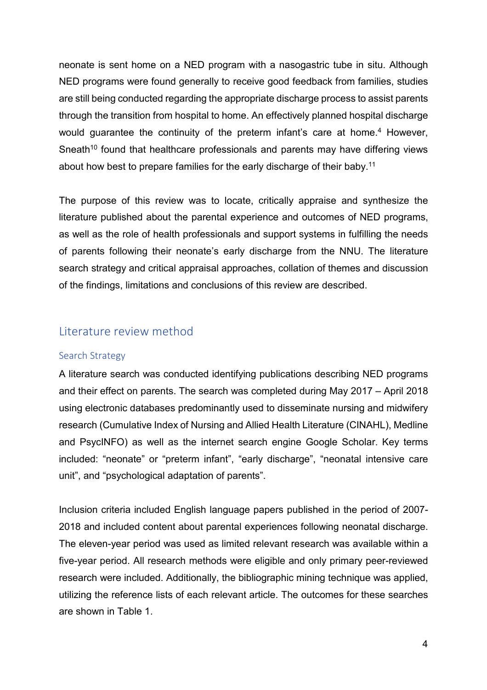neonate is sent home on a NED program with a nasogastric tube in situ. Although NED programs were found generally to receive good feedback from families, studies are still being conducted regarding the appropriate discharge process to assist parents through the transition from hospital to home. An effectively planned hospital discharge would guarantee the continuity of the preterm infant's care at home.<sup>4</sup> However, Sneath<sup>10</sup> found that healthcare professionals and parents may have differing views about how best to prepare families for the early discharge of their baby. 11

The purpose of this review was to locate, critically appraise and synthesize the literature published about the parental experience and outcomes of NED programs, as well as the role of health professionals and support systems in fulfilling the needs of parents following their neonate's early discharge from the NNU. The literature search strategy and critical appraisal approaches, collation of themes and discussion of the findings, limitations and conclusions of this review are described.

# Literature review method

#### Search Strategy

A literature search was conducted identifying publications describing NED programs and their effect on parents. The search was completed during May 2017 – April 2018 using electronic databases predominantly used to disseminate nursing and midwifery research (Cumulative Index of Nursing and Allied Health Literature (CINAHL), Medline and PsycINFO) as well as the internet search engine Google Scholar. Key terms included: "neonate" or "preterm infant", "early discharge", "neonatal intensive care unit", and "psychological adaptation of parents".

Inclusion criteria included English language papers published in the period of 2007- 2018 and included content about parental experiences following neonatal discharge. The eleven-year period was used as limited relevant research was available within a five-year period. All research methods were eligible and only primary peer-reviewed research were included. Additionally, the bibliographic mining technique was applied, utilizing the reference lists of each relevant article. The outcomes for these searches are shown in Table 1.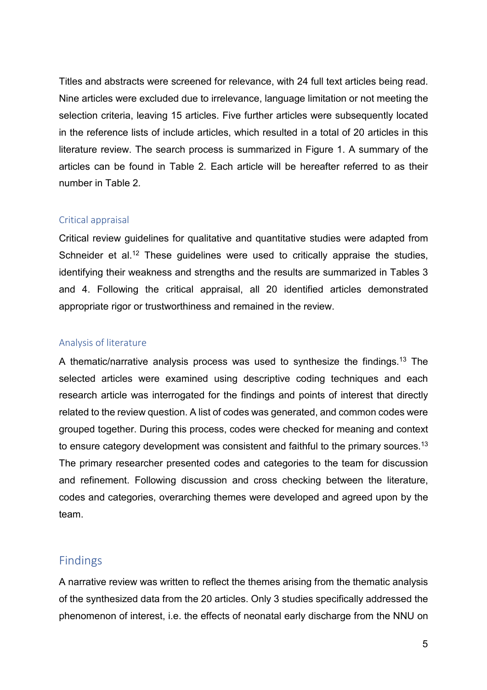Titles and abstracts were screened for relevance, with 24 full text articles being read. Nine articles were excluded due to irrelevance, language limitation or not meeting the selection criteria, leaving 15 articles. Five further articles were subsequently located in the reference lists of include articles, which resulted in a total of 20 articles in this literature review. The search process is summarized in Figure 1. A summary of the articles can be found in Table 2*.* Each article will be hereafter referred to as their number in Table 2*.* 

### Critical appraisal

Critical review guidelines for qualitative and quantitative studies were adapted from Schneider et al.<sup>12</sup> These quidelines were used to critically appraise the studies, identifying their weakness and strengths and the results are summarized in Tables 3 and 4. Following the critical appraisal, all 20 identified articles demonstrated appropriate rigor or trustworthiness and remained in the review.

## Analysis of literature

A thematic/narrative analysis process was used to synthesize the findings. <sup>13</sup> The selected articles were examined using descriptive coding techniques and each research article was interrogated for the findings and points of interest that directly related to the review question. A list of codes was generated, and common codes were grouped together. During this process, codes were checked for meaning and context to ensure category development was consistent and faithful to the primary sources. $^{\rm 13}$ The primary researcher presented codes and categories to the team for discussion and refinement. Following discussion and cross checking between the literature, codes and categories, overarching themes were developed and agreed upon by the team.

# Findings

A narrative review was written to reflect the themes arising from the thematic analysis of the synthesized data from the 20 articles. Only 3 studies specifically addressed the phenomenon of interest, i.e. the effects of neonatal early discharge from the NNU on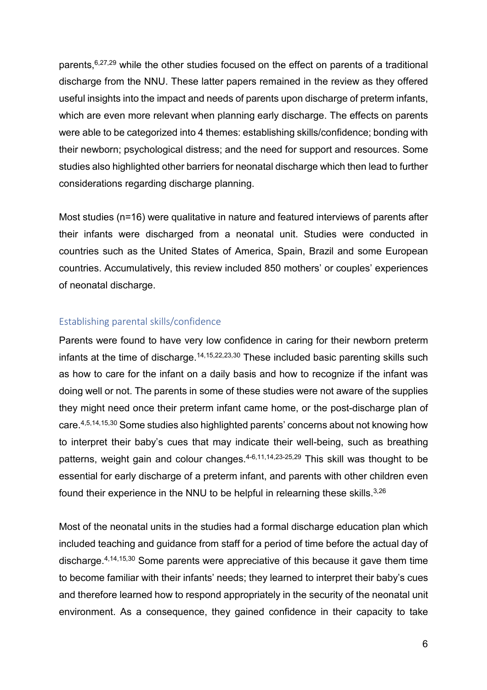parents, 6,27,29 while the other studies focused on the effect on parents of a traditional discharge from the NNU. These latter papers remained in the review as they offered useful insights into the impact and needs of parents upon discharge of preterm infants, which are even more relevant when planning early discharge. The effects on parents were able to be categorized into 4 themes: establishing skills/confidence; bonding with their newborn; psychological distress; and the need for support and resources. Some studies also highlighted other barriers for neonatal discharge which then lead to further considerations regarding discharge planning.

Most studies (n=16) were qualitative in nature and featured interviews of parents after their infants were discharged from a neonatal unit. Studies were conducted in countries such as the United States of America, Spain, Brazil and some European countries. Accumulatively, this review included 850 mothers' or couples' experiences of neonatal discharge.

### Establishing parental skills/confidence

Parents were found to have very low confidence in caring for their newborn preterm infants at the time of discharge.<sup>14,15,22,23,30</sup> These included basic parenting skills such as how to care for the infant on a daily basis and how to recognize if the infant was doing well or not. The parents in some of these studies were not aware of the supplies they might need once their preterm infant came home, or the post-discharge plan of care. 4,5,14,15,30 Some studies also highlighted parents' concerns about not knowing how to interpret their baby's cues that may indicate their well-being, such as breathing patterns, weight gain and colour changes. 4-6,11,14,23-25,29 This skill was thought to be essential for early discharge of a preterm infant, and parents with other children even found their experience in the NNU to be helpful in relearning these skills. $^{\rm 3,26}$ 

Most of the neonatal units in the studies had a formal discharge education plan which included teaching and guidance from staff for a period of time before the actual day of discharge. 4,14,15,30 Some parents were appreciative of this because it gave them time to become familiar with their infants' needs; they learned to interpret their baby's cues and therefore learned how to respond appropriately in the security of the neonatal unit environment. As a consequence, they gained confidence in their capacity to take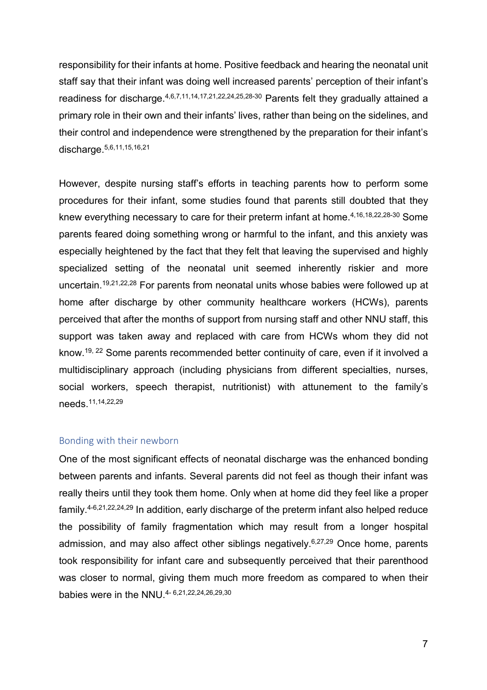responsibility for their infants at home. Positive feedback and hearing the neonatal unit staff say that their infant was doing well increased parents' perception of their infant's readiness for discharge.<sup>4,6,7,11,14,17,21,22,24,25,28-30</sup> Parents felt they gradually attained a primary role in their own and their infants' lives, rather than being on the sidelines, and their control and independence were strengthened by the preparation for their infant's discharge. 5,6,11,15,16,21

However, despite nursing staff's efforts in teaching parents how to perform some procedures for their infant, some studies found that parents still doubted that they knew everything necessary to care for their preterm infant at home. 4,16,18,22,28-30 Some parents feared doing something wrong or harmful to the infant, and this anxiety was especially heightened by the fact that they felt that leaving the supervised and highly specialized setting of the neonatal unit seemed inherently riskier and more uncertain. 19,21,22,28 For parents from neonatal units whose babies were followed up at home after discharge by other community healthcare workers (HCWs), parents perceived that after the months of support from nursing staff and other NNU staff, this support was taken away and replaced with care from HCWs whom they did not know. 19, 22 Some parents recommended better continuity of care, even if it involved a multidisciplinary approach (including physicians from different specialties, nurses, social workers, speech therapist, nutritionist) with attunement to the family's needs. 11,14,22,29

#### Bonding with their newborn

One of the most significant effects of neonatal discharge was the enhanced bonding between parents and infants. Several parents did not feel as though their infant was really theirs until they took them home. Only when at home did they feel like a proper family. 4-6,21,22,24,29 In addition, early discharge of the preterm infant also helped reduce the possibility of family fragmentation which may result from a longer hospital admission, and may also affect other siblings negatively. 6,27,29 Once home, parents took responsibility for infant care and subsequently perceived that their parenthood was closer to normal, giving them much more freedom as compared to when their babies were in the NNU. 4- 6,21,22,24,26,29,30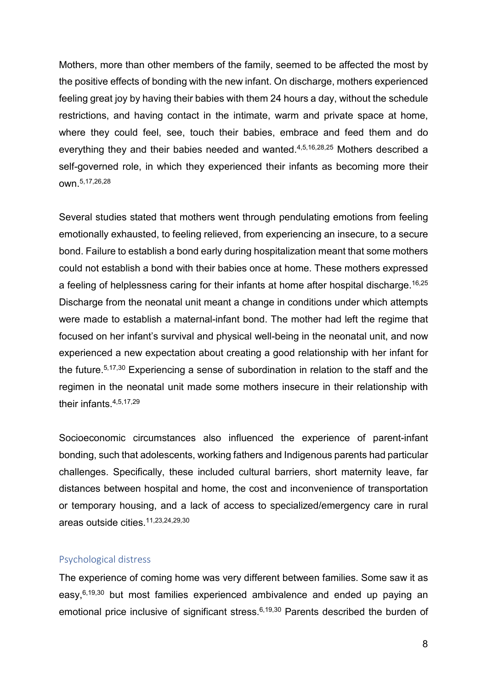Mothers, more than other members of the family, seemed to be affected the most by the positive effects of bonding with the new infant. On discharge, mothers experienced feeling great joy by having their babies with them 24 hours a day, without the schedule restrictions, and having contact in the intimate, warm and private space at home, where they could feel, see, touch their babies, embrace and feed them and do everything they and their babies needed and wanted.<sup>4,5,16,28,25</sup> Mothers described a self-governed role, in which they experienced their infants as becoming more their own. 5,17,26,28

Several studies stated that mothers went through pendulating emotions from feeling emotionally exhausted, to feeling relieved, from experiencing an insecure, to a secure bond. Failure to establish a bond early during hospitalization meant that some mothers could not establish a bond with their babies once at home. These mothers expressed a feeling of helplessness caring for their infants at home after hospital discharge. 16,25 Discharge from the neonatal unit meant a change in conditions under which attempts were made to establish a maternal-infant bond. The mother had left the regime that focused on her infant's survival and physical well-being in the neonatal unit, and now experienced a new expectation about creating a good relationship with her infant for the future. 5,17,30 Experiencing a sense of subordination in relation to the staff and the regimen in the neonatal unit made some mothers insecure in their relationship with their infants. 4,5,17,29

Socioeconomic circumstances also influenced the experience of parent-infant bonding, such that adolescents, working fathers and Indigenous parents had particular challenges. Specifically, these included cultural barriers, short maternity leave, far distances between hospital and home, the cost and inconvenience of transportation or temporary housing, and a lack of access to specialized/emergency care in rural areas outside cities. 11,23,24,29,30

#### Psychological distress

The experience of coming home was very different between families. Some saw it as easy,<sup>6,19,30</sup> but most families experienced ambivalence and ended up paying an emotional price inclusive of significant stress. 6,19,30 Parents described the burden of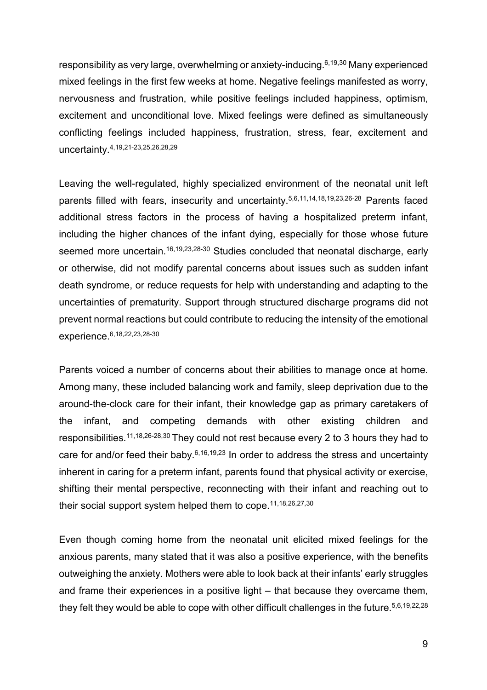responsibility as very large, overwhelming or anxiety-inducing. 6,19,30 Many experienced mixed feelings in the first few weeks at home. Negative feelings manifested as worry, nervousness and frustration, while positive feelings included happiness, optimism, excitement and unconditional love. Mixed feelings were defined as simultaneously conflicting feelings included happiness, frustration, stress, fear, excitement and uncertainty. 4,19,21-23,25,26,28,29

Leaving the well-regulated, highly specialized environment of the neonatal unit left parents filled with fears, insecurity and uncertainty. 5,6,11,14,18,19,23,26-28 Parents faced additional stress factors in the process of having a hospitalized preterm infant, including the higher chances of the infant dying, especially for those whose future seemed more uncertain. 16,19,23,28-30 Studies concluded that neonatal discharge, early or otherwise, did not modify parental concerns about issues such as sudden infant death syndrome, or reduce requests for help with understanding and adapting to the uncertainties of prematurity. Support through structured discharge programs did not prevent normal reactions but could contribute to reducing the intensity of the emotional experience. 6,18,22,23,28-30

Parents voiced a number of concerns about their abilities to manage once at home. Among many, these included balancing work and family, sleep deprivation due to the around-the-clock care for their infant, their knowledge gap as primary caretakers of the infant, and competing demands with other existing children and responsibilities.<sup>11,18,26-28,30</sup> They could not rest because every 2 to 3 hours they had to care for and/or feed their baby.<sup>6,16,19,23</sup> In order to address the stress and uncertainty inherent in caring for a preterm infant, parents found that physical activity or exercise, shifting their mental perspective, reconnecting with their infant and reaching out to their social support system helped them to cope. 11,18,26,27,30

Even though coming home from the neonatal unit elicited mixed feelings for the anxious parents, many stated that it was also a positive experience, with the benefits outweighing the anxiety. Mothers were able to look back at their infants' early struggles and frame their experiences in a positive light – that because they overcame them, they felt they would be able to cope with other difficult challenges in the future.<sup>5,6,19,22,28</sup>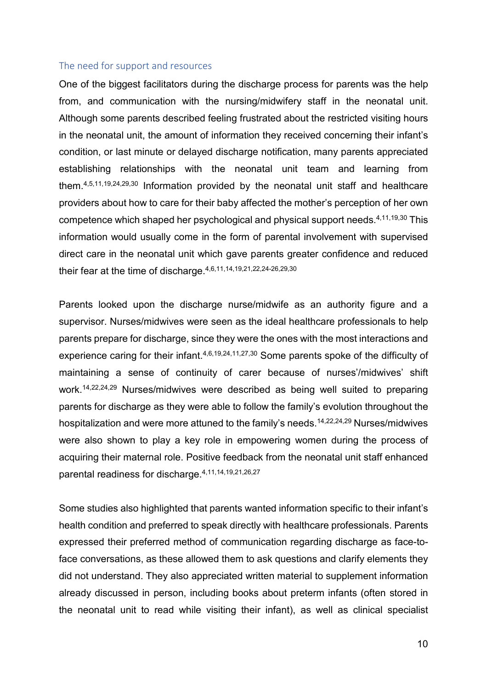#### The need for support and resources

One of the biggest facilitators during the discharge process for parents was the help from, and communication with the nursing/midwifery staff in the neonatal unit. Although some parents described feeling frustrated about the restricted visiting hours in the neonatal unit, the amount of information they received concerning their infant's condition, or last minute or delayed discharge notification, many parents appreciated establishing relationships with the neonatal unit team and learning from them. 4,5,11,19,24,29,30 Information provided by the neonatal unit staff and healthcare providers about how to care for their baby affected the mother's perception of her own competence which shaped her psychological and physical support needs. 4,11,19,30 This information would usually come in the form of parental involvement with supervised direct care in the neonatal unit which gave parents greater confidence and reduced their fear at the time of discharge. 4,6,11,14,19,21,22,24-26,29,30

Parents looked upon the discharge nurse/midwife as an authority figure and a supervisor. Nurses/midwives were seen as the ideal healthcare professionals to help parents prepare for discharge, since they were the ones with the most interactions and experience caring for their infant.<sup>4,6,19,24,11,27,30</sup> Some parents spoke of the difficulty of maintaining a sense of continuity of carer because of nurses'/midwives' shift work. 14,22,24,29 Nurses/midwives were described as being well suited to preparing parents for discharge as they were able to follow the family's evolution throughout the hospitalization and were more attuned to the family's needs. 14,22,24,29 Nurses/midwives were also shown to play a key role in empowering women during the process of acquiring their maternal role. Positive feedback from the neonatal unit staff enhanced parental readiness for discharge. 4,11,14,19,21,26,27

Some studies also highlighted that parents wanted information specific to their infant's health condition and preferred to speak directly with healthcare professionals. Parents expressed their preferred method of communication regarding discharge as face-toface conversations, as these allowed them to ask questions and clarify elements they did not understand. They also appreciated written material to supplement information already discussed in person, including books about preterm infants (often stored in the neonatal unit to read while visiting their infant), as well as clinical specialist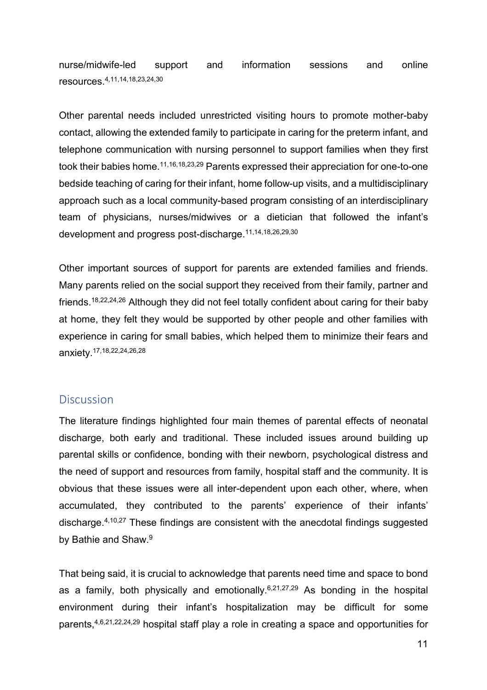nurse/midwife-led support and information sessions and online resources. 4,11,14,18,23,24,30

Other parental needs included unrestricted visiting hours to promote mother-baby contact, allowing the extended family to participate in caring for the preterm infant, and telephone communication with nursing personnel to support families when they first took their babies home. 11,16,18,23,29 Parents expressed their appreciation for one-to-one bedside teaching of caring for their infant, home follow-up visits, and a multidisciplinary approach such as a local community-based program consisting of an interdisciplinary team of physicians, nurses/midwives or a dietician that followed the infant's development and progress post-discharge. 11,14,18,26,29,30

Other important sources of support for parents are extended families and friends. Many parents relied on the social support they received from their family, partner and friends. 18,22,24,26 Although they did not feel totally confident about caring for their baby at home, they felt they would be supported by other people and other families with experience in caring for small babies, which helped them to minimize their fears and anxiety. 17,18,22,24,26,28

# **Discussion**

The literature findings highlighted four main themes of parental effects of neonatal discharge, both early and traditional. These included issues around building up parental skills or confidence, bonding with their newborn, psychological distress and the need of support and resources from family, hospital staff and the community. It is obvious that these issues were all inter-dependent upon each other, where, when accumulated, they contributed to the parents' experience of their infants' discharge. 4,10,27 These findings are consistent with the anecdotal findings suggested by Bathie and Shaw. 9

That being said, it is crucial to acknowledge that parents need time and space to bond as a family, both physically and emotionally.<sup>6,21,27,29</sup> As bonding in the hospital environment during their infant's hospitalization may be difficult for some parents,4,6,21,22,24,29 hospital staff play a role in creating a space and opportunities for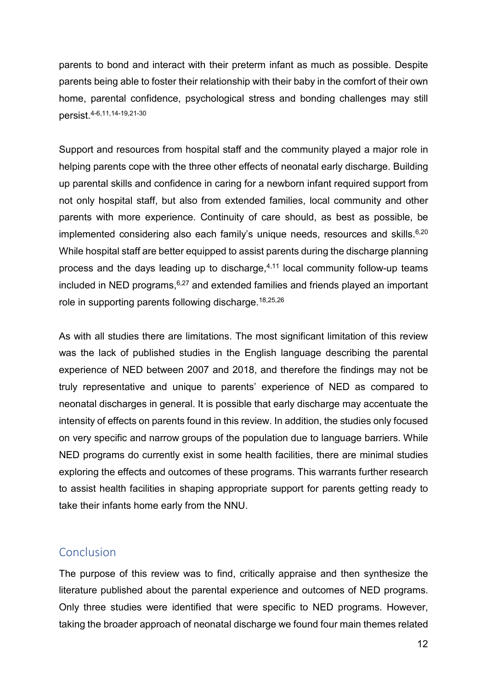parents to bond and interact with their preterm infant as much as possible. Despite parents being able to foster their relationship with their baby in the comfort of their own home, parental confidence, psychological stress and bonding challenges may still persist. 4-6,11,14-19,21-30

Support and resources from hospital staff and the community played a major role in helping parents cope with the three other effects of neonatal early discharge. Building up parental skills and confidence in caring for a newborn infant required support from not only hospital staff, but also from extended families, local community and other parents with more experience. Continuity of care should, as best as possible, be implemented considering also each family's unique needs, resources and skills. $^{6,20}$ While hospital staff are better equipped to assist parents during the discharge planning process and the days leading up to discharge, 4,11 local community follow-up teams included in NED programs,<sup>6,27</sup> and extended families and friends played an important role in supporting parents following discharge. 18,25,26

As with all studies there are limitations. The most significant limitation of this review was the lack of published studies in the English language describing the parental experience of NED between 2007 and 2018, and therefore the findings may not be truly representative and unique to parents' experience of NED as compared to neonatal discharges in general. It is possible that early discharge may accentuate the intensity of effects on parents found in this review. In addition, the studies only focused on very specific and narrow groups of the population due to language barriers. While NED programs do currently exist in some health facilities, there are minimal studies exploring the effects and outcomes of these programs. This warrants further research to assist health facilities in shaping appropriate support for parents getting ready to take their infants home early from the NNU.

## Conclusion

The purpose of this review was to find, critically appraise and then synthesize the literature published about the parental experience and outcomes of NED programs. Only three studies were identified that were specific to NED programs. However, taking the broader approach of neonatal discharge we found four main themes related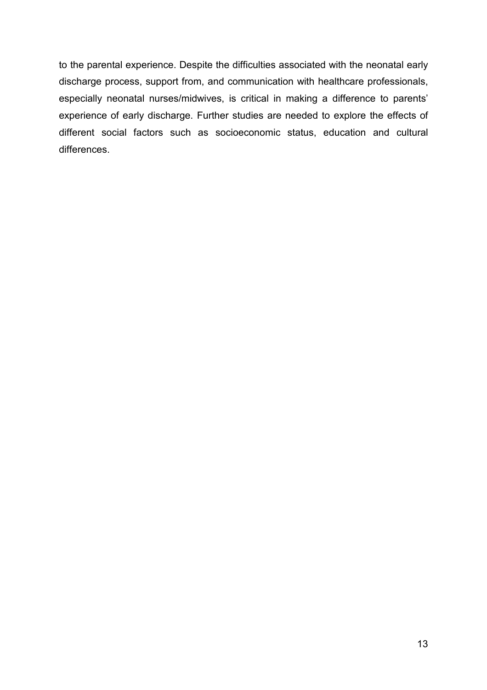to the parental experience. Despite the difficulties associated with the neonatal early discharge process, support from, and communication with healthcare professionals, especially neonatal nurses/midwives, is critical in making a difference to parents' experience of early discharge. Further studies are needed to explore the effects of different social factors such as socioeconomic status, education and cultural differences.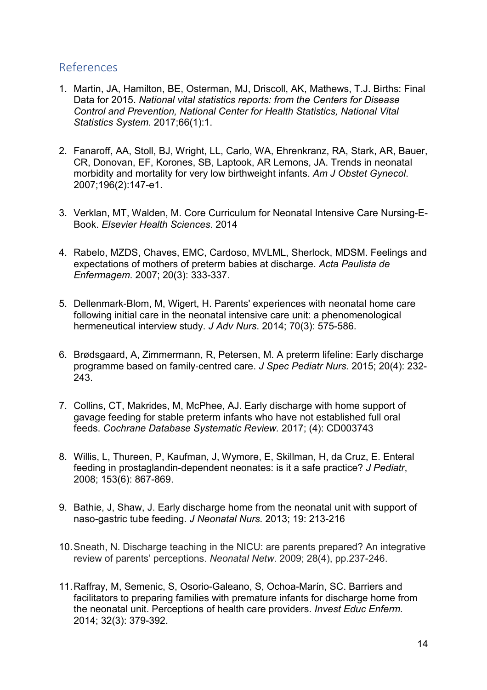# References

- 1. Martin, JA, Hamilton, BE, Osterman, MJ, Driscoll, AK, Mathews, T.J. Births: Final Data for 2015. *National vital statistics reports: from the Centers for Disease Control and Prevention, National Center for Health Statistics, National Vital Statistics System.* 2017;66(1):1.
- 2. Fanaroff, AA, Stoll, BJ, Wright, LL, Carlo, WA, Ehrenkranz, RA, Stark, AR, Bauer, CR, Donovan, EF, Korones, SB, Laptook, AR Lemons, JA. Trends in neonatal morbidity and mortality for very low birthweight infants. *Am J Obstet Gynecol*. 2007;196(2):147-e1.
- 3. Verklan, MT, Walden, M. Core Curriculum for Neonatal Intensive Care Nursing-E-Book. *Elsevier Health Sciences*. 2014
- 4. Rabelo, MZDS, Chaves, EMC, Cardoso, MVLML, Sherlock, MDSM. Feelings and expectations of mothers of preterm babies at discharge. *Acta Paulista de Enfermagem*. 2007; 20(3): 333-337.
- 5. Dellenmark‐Blom, M, Wigert, H. Parents' experiences with neonatal home care following initial care in the neonatal intensive care unit: a phenomenological hermeneutical interview study. *J Adv Nurs*. 2014; 70(3): 575-586.
- 6. Brødsgaard, A, Zimmermann, R, Petersen, M. A preterm lifeline: Early discharge programme based on family‐centred care. *J Spec Pediatr Nurs.* 2015; 20(4): 232- 243.
- 7. Collins, CT, Makrides, M, McPhee, AJ. Early discharge with home support of gavage feeding for stable preterm infants who have not established full oral feeds. *Cochrane Database Systematic Review.* 2017; (4): CD003743
- 8. Willis, L, Thureen, P, Kaufman, J, Wymore, E, Skillman, H, da Cruz, E. Enteral feeding in prostaglandin-dependent neonates: is it a safe practice? *J Pediatr*, 2008; 153(6): 867-869.
- 9. Bathie, J, Shaw, J. Early discharge home from the neonatal unit with support of naso-gastric tube feeding. *J Neonatal Nurs.* 2013; 19: 213-216
- 10.Sneath, N. Discharge teaching in the NICU: are parents prepared? An integrative review of parents' perceptions. *Neonatal Netw*. 2009; 28(4), pp.237-246.
- 11.Raffray, M, Semenic, S, Osorio-Galeano, S, Ochoa-Marín, SC. Barriers and facilitators to preparing families with premature infants for discharge home from the neonatal unit. Perceptions of health care providers. *Invest Educ Enferm*. 2014; 32(3): 379-392.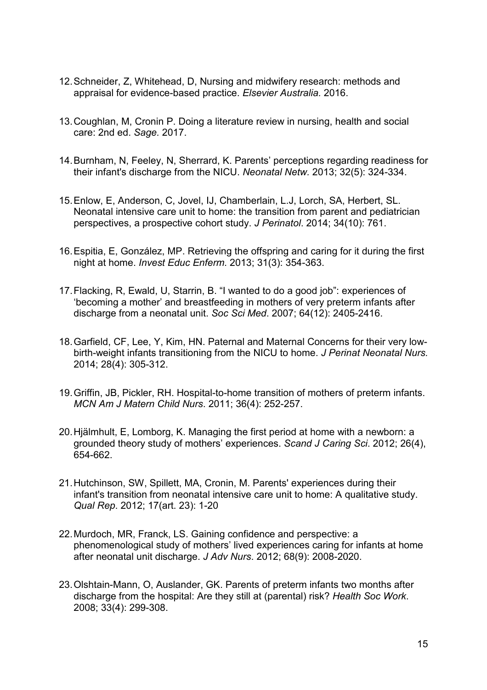- 12.Schneider, Z, Whitehead, D, Nursing and midwifery research: methods and appraisal for evidence-based practice. *Elsevier Australia.* 2016.
- 13.Coughlan, M, Cronin P. Doing a literature review in nursing, health and social care: 2nd ed. *Sage.* 2017.
- 14.Burnham, N, Feeley, N, Sherrard, K. Parents' perceptions regarding readiness for their infant's discharge from the NICU. *Neonatal Netw.* 2013; 32(5): 324-334.
- 15.Enlow, E, Anderson, C, Jovel, IJ, Chamberlain, L.J, Lorch, SA, Herbert, SL. Neonatal intensive care unit to home: the transition from parent and pediatrician perspectives, a prospective cohort study. *J Perinatol*. 2014; 34(10): 761.
- 16.Espitia, E, González, MP. Retrieving the offspring and caring for it during the first night at home. *Invest Educ Enferm*. 2013; 31(3): 354-363.
- 17.Flacking, R, Ewald, U, Starrin, B. "I wanted to do a good job": experiences of 'becoming a mother' and breastfeeding in mothers of very preterm infants after discharge from a neonatal unit. *Soc Sci Med*. 2007; 64(12): 2405-2416.
- 18.Garfield, CF, Lee, Y, Kim, HN. Paternal and Maternal Concerns for their very lowbirth-weight infants transitioning from the NICU to home. *J Perinat Neonatal Nurs.* 2014; 28(4): 305-312.
- 19.Griffin, JB, Pickler, RH. Hospital-to-home transition of mothers of preterm infants. *MCN Am J Matern Child Nurs*. 2011; 36(4): 252-257.
- 20.Hjälmhult, E, Lomborg, K. Managing the first period at home with a newborn: a grounded theory study of mothers' experiences. *Scand J Caring Sci*. 2012; 26(4), 654-662.
- 21.Hutchinson, SW, Spillett, MA, Cronin, M. Parents' experiences during their infant's transition from neonatal intensive care unit to home: A qualitative study. *Qual Rep*. 2012; 17(art. 23): 1-20
- 22.Murdoch, MR, Franck, LS. Gaining confidence and perspective: a phenomenological study of mothers' lived experiences caring for infants at home after neonatal unit discharge. *J Adv Nurs*. 2012; 68(9): 2008-2020.
- 23.Olshtain-Mann, O, Auslander, GK. Parents of preterm infants two months after discharge from the hospital: Are they still at (parental) risk? *Health Soc Work*. 2008; 33(4): 299-308.